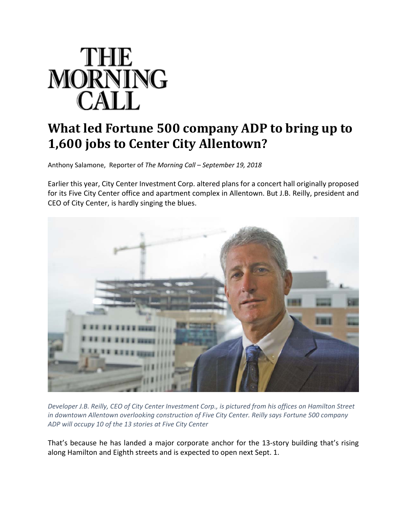

## **What led Fortune 500 company ADP to bring up to 1,600 jobs to Center City Allentown?**

Anthony Salamone, Reporter of *The Morning Call – September 19, 2018*

Earlier this year, City Center Investment Corp. altered plans for a concert hall originally proposed for its Five City Center office and apartment complex in Allentown. But J.B. Reilly, president and CEO of City Center, is hardly singing the blues.



Developer J.B. Reilly, CEO of City Center Investment Corp., is pictured from his offices on Hamilton Street *in downtown Allentown overlooking construction of Five City Center. Reilly says Fortune 500 company ADP will occupy 10 of the 13 stories at Five City Center*

That's because he has landed a major corporate anchor for the 13‐story building that's rising along Hamilton and Eighth streets and is expected to open next Sept. 1.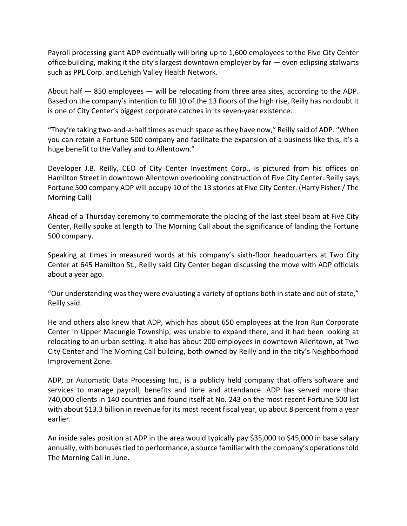Payroll processing giant ADP eventually will bring up to 1,600 employees to the Five City Center office building, making it the city's largest downtown employer by far — even eclipsing stalwarts such as PPL Corp. and Lehigh Valley Health Network.

About half — 850 employees — will be relocating from three area sites, according to the ADP. Based on the company's intention to fill 10 of the 13 floors of the high rise, Reilly has no doubt it is one of City Center's biggest corporate catches in its seven-year existence.

"They're taking two‐and‐a‐half times as much space asthey have now," Reilly said of ADP. "When you can retain a Fortune 500 company and facilitate the expansion of a business like this, it's a huge benefit to the Valley and to Allentown."

Developer J.B. Reilly, CEO of City Center Investment Corp., is pictured from his offices on Hamilton Street in downtown Allentown overlooking construction of Five City Center. Reilly says Fortune 500 company ADP will occupy 10 of the 13 stories at Five City Center. (Harry Fisher / The Morning Call)

Ahead of a Thursday ceremony to commemorate the placing of the last steel beam at Five City Center, Reilly spoke at length to The Morning Call about the significance of landing the Fortune 500 company.

Speaking at times in measured words at his company's sixth‐floor headquarters at Two City Center at 645 Hamilton St., Reilly said City Center began discussing the move with ADP officials about a year ago.

"Our understanding was they were evaluating a variety of options both in state and out of state," Reilly said.

He and others also knew that ADP, which has about 650 employees at the Iron Run Corporate Center in Upper Macungie Township, was unable to expand there, and it had been looking at relocating to an urban setting. It also has about 200 employees in downtown Allentown, at Two City Center and The Morning Call building, both owned by Reilly and in the city's Neighborhood Improvement Zone.

ADP, or Automatic Data Processing Inc., is a publicly held company that offers software and services to manage payroll, benefits and time and attendance. ADP has served more than 740,000 clients in 140 countries and found itself at No. 243 on the most recent Fortune 500 list with about \$13.3 billion in revenue for its most recent fiscal year, up about 8 percent from a year earlier.

An inside sales position at ADP in the area would typically pay \$35,000 to \$45,000 in base salary annually, with bonusestied to performance, a source familiar with the company's operationstold The Morning Call in June.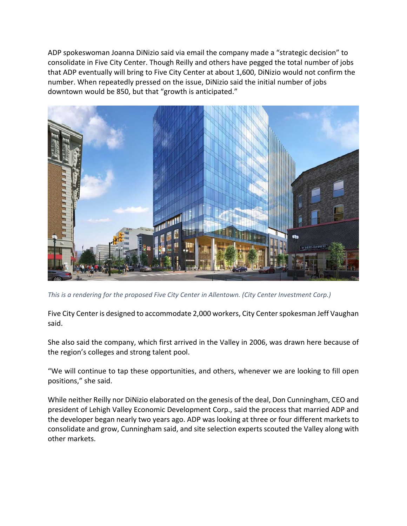ADP spokeswoman Joanna DiNizio said via email the company made a "strategic decision" to consolidate in Five City Center. Though Reilly and others have pegged the total number of jobs that ADP eventually will bring to Five City Center at about 1,600, DiNizio would not confirm the number. When repeatedly pressed on the issue, DiNizio said the initial number of jobs downtown would be 850, but that "growth is anticipated."



*This is a rendering for the proposed Five City Center in Allentown. (City Center Investment Corp.)*

Five City Center is designed to accommodate 2,000 workers, City Center spokesman Jeff Vaughan said.

She also said the company, which first arrived in the Valley in 2006, was drawn here because of the region's colleges and strong talent pool.

"We will continue to tap these opportunities, and others, whenever we are looking to fill open positions," she said.

While neither Reilly nor DiNizio elaborated on the genesis of the deal, Don Cunningham, CEO and president of Lehigh Valley Economic Development Corp., said the process that married ADP and the developer began nearly two years ago. ADP was looking at three or four different markets to consolidate and grow, Cunningham said, and site selection experts scouted the Valley along with other markets.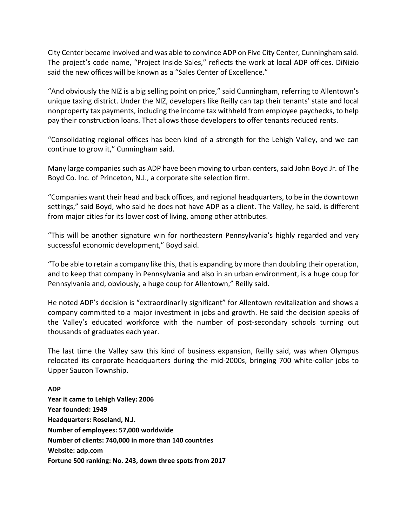City Center became involved and was able to convince ADP on Five City Center, Cunningham said. The project's code name, "Project Inside Sales," reflects the work at local ADP offices. DiNizio said the new offices will be known as a "Sales Center of Excellence."

"And obviously the NIZ is a big selling point on price," said Cunningham, referring to Allentown's unique taxing district. Under the NIZ, developers like Reilly can tap their tenants' state and local nonproperty tax payments, including the income tax withheld from employee paychecks, to help pay their construction loans. That allows those developers to offer tenants reduced rents.

"Consolidating regional offices has been kind of a strength for the Lehigh Valley, and we can continue to grow it," Cunningham said.

Many large companies such as ADP have been moving to urban centers, said John Boyd Jr. of The Boyd Co. Inc. of Princeton, N.J., a corporate site selection firm.

"Companies want their head and back offices, and regional headquarters, to be in the downtown settings," said Boyd, who said he does not have ADP as a client. The Valley, he said, is different from major cities for its lower cost of living, among other attributes.

"This will be another signature win for northeastern Pennsylvania's highly regarded and very successful economic development," Boyd said.

"To be able to retain a company like this, that is expanding by more than doubling their operation, and to keep that company in Pennsylvania and also in an urban environment, is a huge coup for Pennsylvania and, obviously, a huge coup for Allentown," Reilly said.

He noted ADP's decision is "extraordinarily significant" for Allentown revitalization and shows a company committed to a major investment in jobs and growth. He said the decision speaks of the Valley's educated workforce with the number of post‐secondary schools turning out thousands of graduates each year.

The last time the Valley saw this kind of business expansion, Reilly said, was when Olympus relocated its corporate headquarters during the mid‐2000s, bringing 700 white‐collar jobs to Upper Saucon Township.

## **ADP**

**Year it came to Lehigh Valley: 2006 Year founded: 1949 Headquarters: Roseland, N.J. Number of employees: 57,000 worldwide Number of clients: 740,000 in more than 140 countries Website: adp.com Fortune 500 ranking: No. 243, down three spots from 2017**